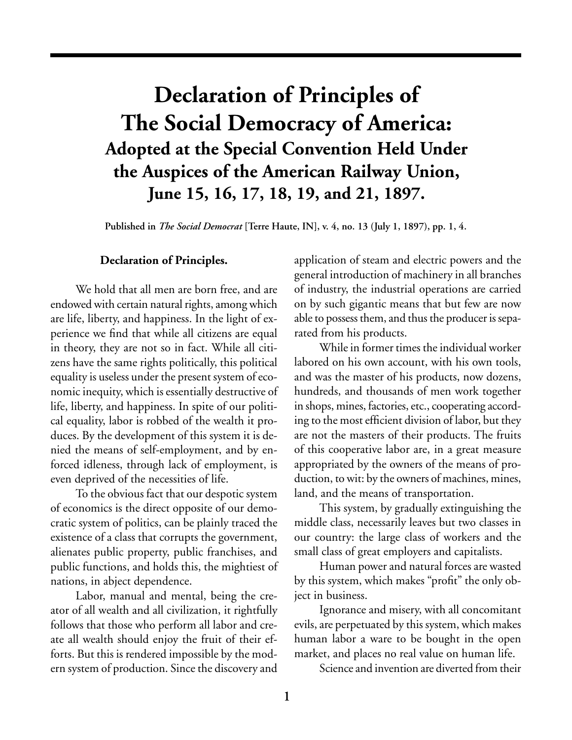## **Declaration of Principles of The Social Democracy of America: Adopted at the Special Convention Held Under the Auspices of the American Railway Union, June 15, 16, 17, 18, 19, and 21, 1897.**

**Published in** *The Social Democrat* **[Terre Haute, IN], v. 4, no. 13 (July 1, 1897), pp. 1, 4.**

## **Declaration of Principles.**

We hold that all men are born free, and are endowed with certain natural rights, among which are life, liberty, and happiness. In the light of experience we find that while all citizens are equal in theory, they are not so in fact. While all citizens have the same rights politically, this political equality is useless under the present system of economic inequity, which is essentially destructive of life, liberty, and happiness. In spite of our political equality, labor is robbed of the wealth it produces. By the development of this system it is denied the means of self-employment, and by enforced idleness, through lack of employment, is even deprived of the necessities of life.

To the obvious fact that our despotic system of economics is the direct opposite of our democratic system of politics, can be plainly traced the existence of a class that corrupts the government, alienates public property, public franchises, and public functions, and holds this, the mightiest of nations, in abject dependence.

Labor, manual and mental, being the creator of all wealth and all civilization, it rightfully follows that those who perform all labor and create all wealth should enjoy the fruit of their efforts. But this is rendered impossible by the modern system of production. Since the discovery and application of steam and electric powers and the general introduction of machinery in all branches of industry, the industrial operations are carried on by such gigantic means that but few are now able to possess them, and thus the producer is separated from his products.

While in former times the individual worker labored on his own account, with his own tools, and was the master of his products, now dozens, hundreds, and thousands of men work together in shops, mines, factories, etc., cooperating according to the most efficient division of labor, but they are not the masters of their products. The fruits of this cooperative labor are, in a great measure appropriated by the owners of the means of production, to wit: by the owners of machines, mines, land, and the means of transportation.

This system, by gradually extinguishing the middle class, necessarily leaves but two classes in our country: the large class of workers and the small class of great employers and capitalists.

Human power and natural forces are wasted by this system, which makes "profit" the only object in business.

Ignorance and misery, with all concomitant evils, are perpetuated by this system, which makes human labor a ware to be bought in the open market, and places no real value on human life.

Science and invention are diverted from their